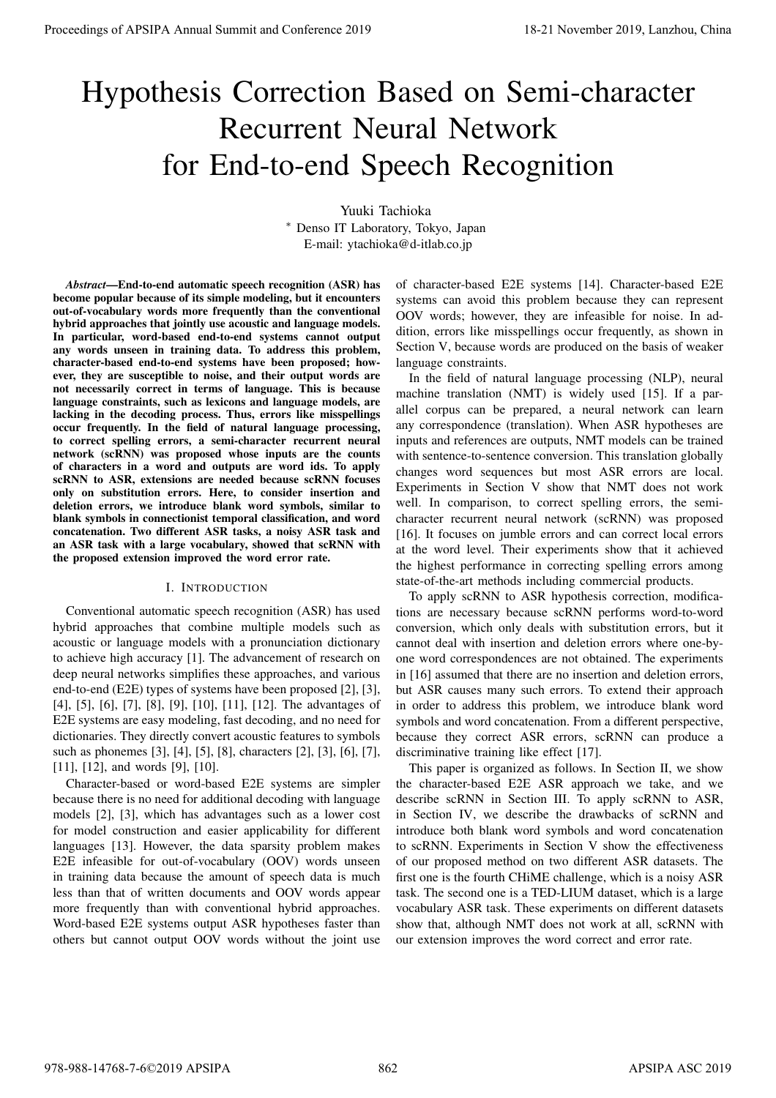# Hypothesis Correction Based on Semi-character Recurrent Neural Network for End-to-end Speech Recognition

Yuuki Tachioka ∗ Denso IT Laboratory, Tokyo, Japan E-mail: ytachioka@d-itlab.co.jp

*Abstract***—End-to-end automatic speech recognition (ASR) has become popular because of its simple modeling, but it encounters out-of-vocabulary words more frequently than the conventional hybrid approaches that jointly use acoustic and language models. In particular, word-based end-to-end systems cannot output any words unseen in training data. To address this problem, character-based end-to-end systems have been proposed; however, they are susceptible to noise, and their output words are not necessarily correct in terms of language. This is because language constraints, such as lexicons and language models, are lacking in the decoding process. Thus, errors like misspellings occur frequently. In the field of natural language processing, to correct spelling errors, a semi-character recurrent neural network (scRNN) was proposed whose inputs are the counts of characters in a word and outputs are word ids. To apply scRNN to ASR, extensions are needed because scRNN focuses only on substitution errors. Here, to consider insertion and deletion errors, we introduce blank word symbols, similar to blank symbols in connectionist temporal classification, and word concatenation. Two different ASR tasks, a noisy ASR task and an ASR task with a large vocabulary, showed that scRNN with the proposed extension improved the word error rate. Proceedings of APSIPA Annual Summit and Conference 2019**<br> **Proceedings of APSIPA Annual Summit and Conference 2019**<br> **Proceedings of APSIPA Annual Summit and Conference 2019**<br> **Proceedings of APSIPA Annual Summit and Con** 

# I. INTRODUCTION

Conventional automatic speech recognition (ASR) has used hybrid approaches that combine multiple models such as acoustic or language models with a pronunciation dictionary to achieve high accuracy [1]. The advancement of research on deep neural networks simplifies these approaches, and various end-to-end (E2E) types of systems have been proposed [2], [3], [4], [5], [6], [7], [8], [9], [10], [11], [12]. The advantages of E2E systems are easy modeling, fast decoding, and no need for dictionaries. They directly convert acoustic features to symbols such as phonemes [3], [4], [5], [8], characters [2], [3], [6], [7], [11], [12], and words [9], [10].

Character-based or word-based E2E systems are simpler because there is no need for additional decoding with language models [2], [3], which has advantages such as a lower cost for model construction and easier applicability for different languages [13]. However, the data sparsity problem makes E2E infeasible for out-of-vocabulary (OOV) words unseen in training data because the amount of speech data is much less than that of written documents and OOV words appear more frequently than with conventional hybrid approaches. Word-based E2E systems output ASR hypotheses faster than others but cannot output OOV words without the joint use

of character-based E2E systems [14]. Character-based E2E systems can avoid this problem because they can represent OOV words; however, they are infeasible for noise. In addition, errors like misspellings occur frequently, as shown in Section V, because words are produced on the basis of weaker language constraints.

In the field of natural language processing (NLP), neural machine translation (NMT) is widely used [15]. If a parallel corpus can be prepared, a neural network can learn any correspondence (translation). When ASR hypotheses are inputs and references are outputs, NMT models can be trained with sentence-to-sentence conversion. This translation globally changes word sequences but most ASR errors are local. Experiments in Section V show that NMT does not work well. In comparison, to correct spelling errors, the semicharacter recurrent neural network (scRNN) was proposed [16]. It focuses on jumble errors and can correct local errors at the word level. Their experiments show that it achieved the highest performance in correcting spelling errors among state-of-the-art methods including commercial products.

To apply scRNN to ASR hypothesis correction, modifications are necessary because scRNN performs word-to-word conversion, which only deals with substitution errors, but it cannot deal with insertion and deletion errors where one-byone word correspondences are not obtained. The experiments in [16] assumed that there are no insertion and deletion errors, but ASR causes many such errors. To extend their approach in order to address this problem, we introduce blank word symbols and word concatenation. From a different perspective, because they correct ASR errors, scRNN can produce a discriminative training like effect [17].

This paper is organized as follows. In Section II, we show the character-based E2E ASR approach we take, and we describe scRNN in Section III. To apply scRNN to ASR, in Section IV, we describe the drawbacks of scRNN and introduce both blank word symbols and word concatenation to scRNN. Experiments in Section V show the effectiveness of our proposed method on two different ASR datasets. The first one is the fourth CHiME challenge, which is a noisy ASR task. The second one is a TED-LIUM dataset, which is a large vocabulary ASR task. These experiments on different datasets show that, although NMT does not work at all, scRNN with our extension improves the word correct and error rate.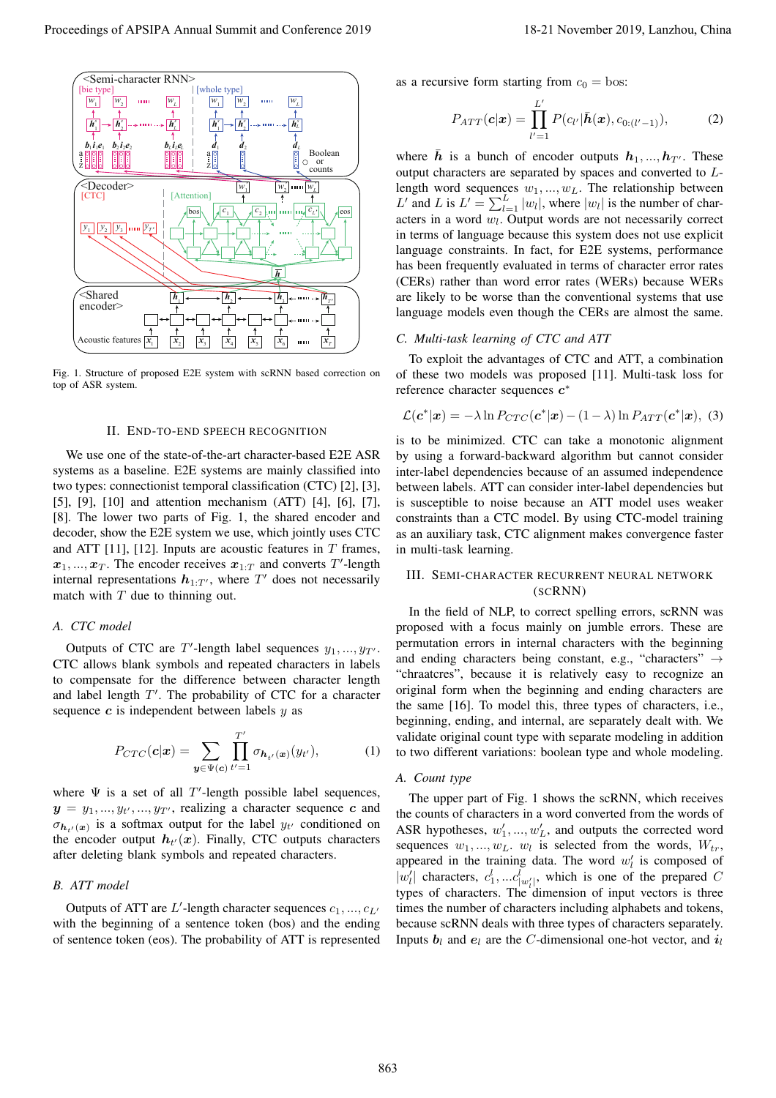

Fig. 1. Structure of proposed E2E system with scRNN based correction on top of ASR system.

#### II. END-TO-END SPEECH RECOGNITION

We use one of the state-of-the-art character-based E2E ASR systems as a baseline. E2E systems are mainly classified into two types: connectionist temporal classification (CTC) [2], [3], [5], [9], [10] and attention mechanism (ATT) [4], [6], [7], [8]. The lower two parts of Fig. 1, the shared encoder and decoder, show the E2E system we use, which jointly uses CTC and ATT [11], [12]. Inputs are acoustic features in  $T$  frames,  $x_1, \ldots, x_T$ . The encoder receives  $x_{1:T}$  and converts T'-length internal representations  $h_1 x_k$ , where T' does not necessarily internal representations  $h_{1:T}$ , where  $T'$  does not necessarily match with  $T$  due to thinning out match with  $T$  due to thinning out.

## *A. CTC model*

Outputs of CTC are T'-length label sequences  $y_1, ..., y_{T'}$ .<br>
C allows blank symbols and repeated characters in labels CTC allows blank symbols and repeated characters in labels to compensate for the difference between character length and label length  $T'$ . The probability of CTC for a character<br>sequence  $c$  is independent between labels  $u$  as sequence  $c$  is independent between labels  $y$  as

$$
P_{CTC}(\boldsymbol{c}|\boldsymbol{x}) = \sum_{\boldsymbol{y} \in \Psi(\boldsymbol{c})} \prod_{t'=1}^{T'} \sigma_{\boldsymbol{h}_{t'}(\boldsymbol{x})}(y_{t'}), \qquad (1)
$$

where  $\Psi$  is a set of all T'-length possible label sequences,<br> $\Psi = \nu_L$  and  $\mu_L$  realizing a character sequence c and  $y = y_1, ..., y_{t'}$ <br>  $\sigma_1$  (*i*, is a sq  $y_1, \ldots, y_{T}$ , realizing a character sequence *c* and  $y_{T}$  conditioned on  $\sigma_{h_{t'}(x)}$  is a solumax of the encoder output  $h_{t'}$  $u(x)$  is a softmax output for the label  $y_t$  conditioned on<br>
encoder output  $h_u(x)$ . Finally, CTC outputs characters  $(x)$ . Finally, CTC outputs characters after deleting blank symbols and repeated characters.

# *B. ATT model*

Outputs of ATT are  $L'$ -length character sequences  $c_1, ..., c_{L'}$ <br>th the beginning of a sentence token (bos) and the ending with the beginning of a sentence token (bos) and the ending of sentence token (eos). The probability of ATT is represented as a recursive form starting from  $c_0 = \text{bos}$ :

$$
P_{ATT}(\boldsymbol{c}|\boldsymbol{x}) = \prod_{l'=1}^{L'} P(c_{l'}|\bar{\boldsymbol{h}}(\boldsymbol{x}), c_{0:(l'-1)}),
$$
 (2)

where  $\bar{h}$  is a bunch of encoder outputs  $h_1, ..., h_{T'}$ . These output characters are separated by spaces and converted to  $I_{\tau}$ output characters are separated by spaces and converted to Llength word sequences  $w_1, ..., w_L$ . The relationship between L' and L is  $L' = \sum_{l=1}^{L} |w_l|$ , where  $|w_l|$  is the number of char-<br>acters in a word w. Output words are not necessarily correct acters in a word w*l*. Output words are not necessarily correct in terms of language because this system does not use explicit language constraints. In fact, for E2E systems, performance has been frequently evaluated in terms of character error rates (CERs) rather than word error rates (WERs) because WERs are likely to be worse than the conventional systems that use language models even though the CERs are almost the same.

## *C. Multi-task learning of CTC and ATT*

To exploit the advantages of CTC and ATT, a combination of these two models was proposed [11]. Multi-task loss for reference character sequences *c*<sup>∗</sup>

$$
\mathcal{L}(\boldsymbol{c}^*|\boldsymbol{x}) = -\lambda \ln P_{CTC}(\boldsymbol{c}^*|\boldsymbol{x}) - (1-\lambda) \ln P_{ATT}(\boldsymbol{c}^*|\boldsymbol{x}), \quad (3)
$$

is to be minimized. CTC can take a monotonic alignment by using a forward-backward algorithm but cannot consider inter-label dependencies because of an assumed independence between labels. ATT can consider inter-label dependencies but is susceptible to noise because an ATT model uses weaker constraints than a CTC model. By using CTC-model training as an auxiliary task, CTC alignment makes convergence faster in multi-task learning.

# III. SEMI-CHARACTER RECURRENT NEURAL NETWORK (SCRNN)

In the field of NLP, to correct spelling errors, scRNN was proposed with a focus mainly on jumble errors. These are permutation errors in internal characters with the beginning and ending characters being constant, e.g., "characters"  $\rightarrow$ "chraatcres", because it is relatively easy to recognize an original form when the beginning and ending characters are the same [16]. To model this, three types of characters, i.e., beginning, ending, and internal, are separately dealt with. We validate original count type with separate modeling in addition to two different variations: boolean type and whole modeling.

## *A. Count type*

The upper part of Fig. 1 shows the scRNN, which receives the counts of characters in a word converted from the words of ASR hypotheses,  $w'_1, ..., w'_L$ , and outputs the corrected word<br>sequences  $w_1, ..., w_L$  is selected from the words  $W$ . sequences  $w_1, ..., w_L$ .  $w_l$  is selected from the words,  $W_{tr}$ , appeared in the training data. The word  $w_l'$  is composed of  $|w_l'|$  characters  $c_l^l$   $c_l^l$  which is one of the prepared C  $|w'_l|$  characters,  $c^l_1, ... c^l_{|w'_l|}$ , which is one of the prepared C<br>types of characters. The dimension of input vectors is three types of characters. The dimension of input vectors is three times the number of characters including alphabets and tokens, because scRNN deals with three types of characters separately. Inputs  $b_l$  and  $e_l$  are the C-dimensional one-hot vector, and  $i_l$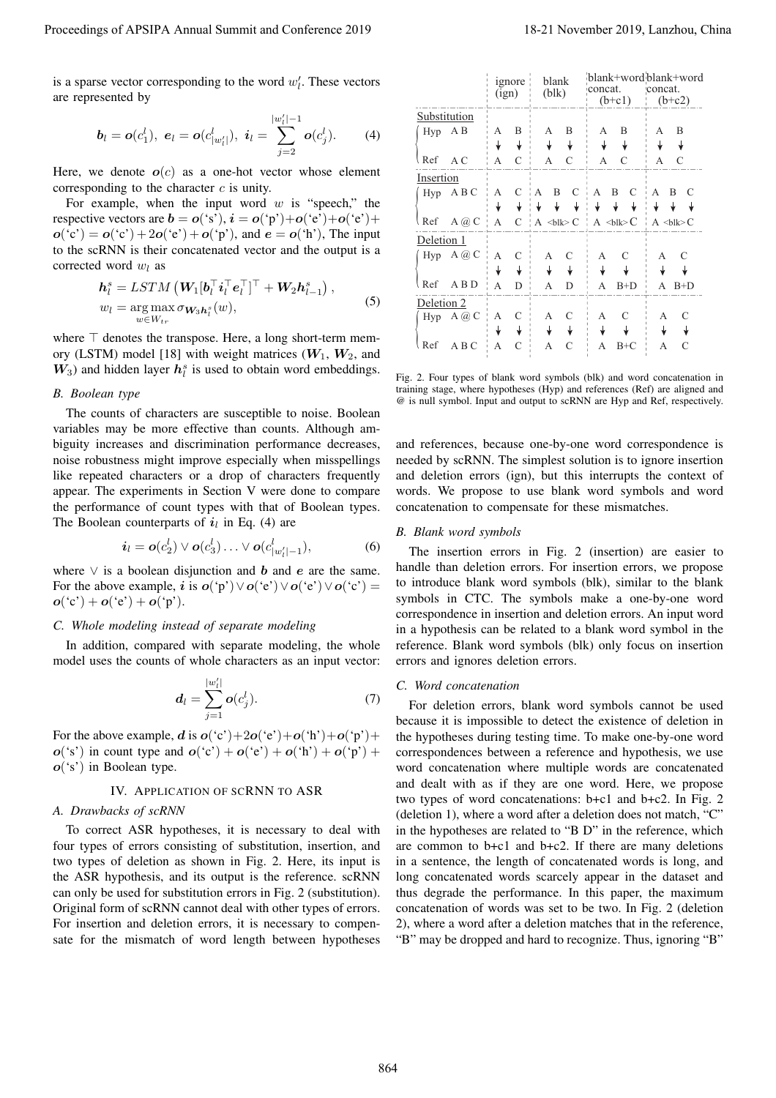$$
\boldsymbol{b}_l = \boldsymbol{o}(c_1^l), \ \boldsymbol{e}_l = \boldsymbol{o}(c_{|w'_l|}^l), \ \boldsymbol{i}_l = \sum_{j=2}^{|w'_l|-1} \boldsymbol{o}(c_j^l). \tag{4}
$$

$$
\begin{aligned} \boldsymbol{h}_{l}^{s} &= LSTM\left(\boldsymbol{W}_{1}[\boldsymbol{b}_{l}^{\top}\boldsymbol{i}_{l}^{\top}\boldsymbol{e}_{l}^{\top}]^{\top}+\boldsymbol{W}_{2}\boldsymbol{h}_{l-1}^{s}\right),\\ w_{l} &= \underset{w\in W_{tr}}{\arg\max} \sigma_{\boldsymbol{W}_{3}\boldsymbol{h}_{l}^{s}}(w), \end{aligned} \tag{5}
$$

# *B. Boolean type*

$$
\boldsymbol{i}_l = \boldsymbol{o}(c_2^l) \vee \boldsymbol{o}(c_3^l) \ldots \vee \boldsymbol{o}(c_{|w'_l|-1}^l), \qquad (6)
$$

# *C. Whole modeling instead of separate modeling*

$$
\boldsymbol{d}_l = \sum_{j=1}^{|w'_l|} \boldsymbol{o}(c_j^l). \tag{7}
$$

# IV. APPLICATION OF SCRNN TO ASR

# *A. Drawbacks of scRNN*

| Proceedings of APSIPA Annual Summit and Conference 2019                                                                                                                                         |                                                                                                                                                                                                                                                                                                                                                                                                                                |                                                     |                                          |                                                              | 18-21 November 2019, Lanzhou, China                |  |
|-------------------------------------------------------------------------------------------------------------------------------------------------------------------------------------------------|--------------------------------------------------------------------------------------------------------------------------------------------------------------------------------------------------------------------------------------------------------------------------------------------------------------------------------------------------------------------------------------------------------------------------------|-----------------------------------------------------|------------------------------------------|--------------------------------------------------------------|----------------------------------------------------|--|
| is a sparse vector corresponding to the word $w'_i$ . These vectors<br>are represented by                                                                                                       |                                                                                                                                                                                                                                                                                                                                                                                                                                | <i>ignore</i><br>(ign)                              | blank<br>(blk)                           | concat.<br>$(b+c1)$                                          | blank+word blank+word<br>concat.<br>$(b+c2)$       |  |
|                                                                                                                                                                                                 | Substitution                                                                                                                                                                                                                                                                                                                                                                                                                   |                                                     |                                          |                                                              |                                                    |  |
| $ w_l' -1$<br>$\mathbf{b}_l = \mathbf{o}(c_1^l), \ \mathbf{e}_l = \mathbf{o}(c_{ w'_l }^l), \ \mathbf{i}_l = \sum_{j=2}^{l-1} \mathbf{o}(c_j^l).$<br>(4)                                        | Hyp AB                                                                                                                                                                                                                                                                                                                                                                                                                         | $A$ $B$<br>$\pmb{\downarrow}$<br>$\pmb{\downarrow}$ | A B<br>$\downarrow$ $\quad$ $\downarrow$ | A B<br>$\ensuremath{\mathsf{v}}$ . $\ensuremath{\mathsf{v}}$ | A B<br>$\downarrow$<br>$\downarrow$                |  |
|                                                                                                                                                                                                 | $Ref \quad AC$                                                                                                                                                                                                                                                                                                                                                                                                                 | $A \quad C$                                         | $A$ $C$                                  | $A$ $C$                                                      | A C                                                |  |
| Here, we denote $o(c)$ as a one-hot vector whose element<br>corresponding to the character $c$ is unity.                                                                                        | Insertion<br>$Hyp$ ABC                                                                                                                                                                                                                                                                                                                                                                                                         |                                                     | A C A B C                                | $A$ B C                                                      | A B C                                              |  |
| For example, when the input word $w$ is "speech," the                                                                                                                                           |                                                                                                                                                                                                                                                                                                                                                                                                                                |                                                     | $\downarrow$<br>$\downarrow$<br>↡        | $\downarrow$ $\downarrow$ $\downarrow$                       | $\downarrow$<br>$\downarrow$ $\downarrow$          |  |
| respective vectors are $\mathbf{b} = \mathbf{o}('s'), \mathbf{i} = \mathbf{o}('p') + \mathbf{o}('e') + \mathbf{o}'('e') +$<br>$o('c') = o('c') + 2o('e') + o('p'),$ and $e = o('h'),$ The input | Ref $A @ C \mid A \mid C \mid A \leq b$ lk>C $A \leq b$ lk>C                                                                                                                                                                                                                                                                                                                                                                   |                                                     |                                          |                                                              | $A \leq bl \geq C$                                 |  |
| to the scRNN is their concatenated vector and the output is a<br>corrected word $w_l$ as                                                                                                        | Deletion 1<br>Hyp $A @ C \nmid A \nmid C$                                                                                                                                                                                                                                                                                                                                                                                      |                                                     | A C                                      | A C                                                          | A C                                                |  |
| $\boldsymbol{h}_l^s = LSTM\left(\boldsymbol{W}_1[\boldsymbol{b}_l^\top \boldsymbol{i}_l^\top \boldsymbol{e}_l^\top]^\top + \boldsymbol{W}_2 \boldsymbol{h}_{l-1}^s\right),$                     | $\begin{array}{ccccccccc}\n\text{Ref} & \text{A} & \text{B} & \text{D} & \text{A} & \text{D} & \text{A} & \text{B} & \text{B} & \text{B} & \text{A} & \text{B} & \text{B} & \text{A} & \text{B} & \text{B} & \text{A} & \text{B} & \text{B} & \text{A} & \text{B} & \text{B} & \text{B} & \text{A} & \text{B} & \text{B} & \text{B} & \text{A} & \text{B} & \text{B} & \text{B} & \text{A} & \text{B} & \text{B} & \text{B} &$ |                                                     | $\downarrow$ $\downarrow$ $\downarrow$   | $\ensuremath{\mathsf{V}}$ . $\ensuremath{\mathsf{V}}$        | $\overline{\mathbf{r}}$<br>$\downarrow$<br>$A$ B+D |  |
| (5)                                                                                                                                                                                             | Deletion <sub>2</sub>                                                                                                                                                                                                                                                                                                                                                                                                          |                                                     |                                          |                                                              |                                                    |  |
| $w_l = \arg \max_{w \in W_{tr}} \sigma_{\mathbf{W}_3 \mathbf{h}_l^s}(w),$                                                                                                                       |                                                                                                                                                                                                                                                                                                                                                                                                                                |                                                     |                                          |                                                              | A C                                                |  |
| where $\top$ denotes the transpose. Here, a long short-term mem-<br>ory (LSTM) model [18] with weight matrices $(W_1, W_2,$ and                                                                 |                                                                                                                                                                                                                                                                                                                                                                                                                                |                                                     |                                          |                                                              | $\downarrow$<br>$\mathcal{C}$                      |  |
| $W_3$ ) and hidden layer $h_l^s$ is used to obtain word embeddings.                                                                                                                             | Fig. 2. Four types of blank word symbols (blk) and word concatenation in<br>training stage, where hypotheses (Hyp) and references (Ref) are aligned and                                                                                                                                                                                                                                                                        |                                                     |                                          |                                                              |                                                    |  |
| <b>B.</b> Boolean type<br>The counts of characters are susceptible to noise. Boolean                                                                                                            | @ is null symbol. Input and output to scRNN are Hyp and Ref, respectively.                                                                                                                                                                                                                                                                                                                                                     |                                                     |                                          |                                                              |                                                    |  |
| variables may be more effective than counts. Although am-<br>biguity increases and discrimination performance decreases,<br>noise robustness might improve especially when misspellings         | and references, because one-by-one word correspondence is<br>needed by scRNN. The simplest solution is to ignore insertion                                                                                                                                                                                                                                                                                                     |                                                     |                                          |                                                              |                                                    |  |
| like repeated characters or a drop of characters frequently<br>appear. The experiments in Section V were done to compare<br>the performance of count types with that of Boolean types.          | and deletion errors (ign), but this interrupts the context of<br>words. We propose to use blank word symbols and word<br>concatenation to compensate for these mismatches.                                                                                                                                                                                                                                                     |                                                     |                                          |                                                              |                                                    |  |
| The Boolean counterparts of $i_l$ in Eq. (4) are<br>$i_l = o(c_2^l) \vee o(c_3^l) \dots \vee o(c_{ w_l^l -1}^l),$<br>(6)                                                                        | <b>B.</b> Blank word symbols                                                                                                                                                                                                                                                                                                                                                                                                   |                                                     |                                          |                                                              |                                                    |  |
|                                                                                                                                                                                                 | The insertion errors in Fig. 2 (insertion) are easier to                                                                                                                                                                                                                                                                                                                                                                       |                                                     |                                          |                                                              |                                                    |  |
| where $\vee$ is a boolean disjunction and b and e are the same.<br>For the above example, <i>i</i> is $o('p') \vee o('e') \vee o('e') \vee o('c') =$<br>$o('c') + o('e') + o('p').$             | handle than deletion errors. For insertion errors, we propose<br>to introduce blank word symbols (blk), similar to the blank<br>symbols in CTC. The symbols make a one-by-one word                                                                                                                                                                                                                                             |                                                     |                                          |                                                              |                                                    |  |
| C. Whole modeling instead of separate modeling                                                                                                                                                  | correspondence in insertion and deletion errors. An input word<br>in a hypothesis can be related to a blank word symbol in the                                                                                                                                                                                                                                                                                                 |                                                     |                                          |                                                              |                                                    |  |
| In addition, compared with separate modeling, the whole<br>model uses the counts of whole characters as an input vector:                                                                        | reference. Blank word symbols (blk) only focus on insertion<br>errors and ignores deletion errors.                                                                                                                                                                                                                                                                                                                             |                                                     |                                          |                                                              |                                                    |  |
|                                                                                                                                                                                                 | C. Word concatenation                                                                                                                                                                                                                                                                                                                                                                                                          |                                                     |                                          |                                                              |                                                    |  |
| $\boldsymbol{d}_l = \sum_{j=1}^{ w_l' } \boldsymbol{o}(c_j^l).$<br>(7)                                                                                                                          | For deletion errors, blank word symbols cannot be used                                                                                                                                                                                                                                                                                                                                                                         |                                                     |                                          |                                                              |                                                    |  |
|                                                                                                                                                                                                 | because it is impossible to detect the existence of deletion in                                                                                                                                                                                                                                                                                                                                                                |                                                     |                                          |                                                              |                                                    |  |
| For the above example, d is $o('c') + 2o('e') + o('h') + o('p') +$<br>$o('s')$ in count type and $o('c') + o('e') + o('h') + o('p') + o''(h')$<br>$o('s')$ in Boolean type.                     | the hypotheses during testing time. To make one-by-one word<br>correspondences between a reference and hypothesis, we use<br>word concatenation where multiple words are concatenated                                                                                                                                                                                                                                          |                                                     |                                          |                                                              |                                                    |  |
| IV. APPLICATION OF SCRNN TO ASR                                                                                                                                                                 | and dealt with as if they are one word. Here, we propose                                                                                                                                                                                                                                                                                                                                                                       |                                                     |                                          |                                                              |                                                    |  |
| A. Drawbacks of scRNN                                                                                                                                                                           | two types of word concatenations: b+c1 and b+c2. In Fig. 2<br>(deletion 1), where a word after a deletion does not match, "C"                                                                                                                                                                                                                                                                                                  |                                                     |                                          |                                                              |                                                    |  |
| To correct ASR hypotheses, it is necessary to deal with                                                                                                                                         | in the hypotheses are related to "B D" in the reference, which                                                                                                                                                                                                                                                                                                                                                                 |                                                     |                                          |                                                              |                                                    |  |
| four types of errors consisting of substitution, insertion, and<br>two types of deletion as shown in Fig. 2. Here, its input is                                                                 | are common to $b+c1$ and $b+c2$ . If there are many deletions<br>in a sentence, the length of concatenated words is long, and                                                                                                                                                                                                                                                                                                  |                                                     |                                          |                                                              |                                                    |  |
| the ASR hypothesis, and its output is the reference. scRNN<br>can only be used for substitution errors in Fig. 2 (substitution).                                                                | long concatenated words scarcely appear in the dataset and<br>thus degrade the performance. In this paper, the maximum                                                                                                                                                                                                                                                                                                         |                                                     |                                          |                                                              |                                                    |  |
| Original form of scRNN cannot deal with other types of errors.<br>For insertion and deletion errors, it is necessary to compen-<br>sate for the mismatch of word length between hypotheses      | concatenation of words was set to be two. In Fig. 2 (deletion<br>2), where a word after a deletion matches that in the reference,<br>"B" may be dropped and hard to recognize. Thus, ignoring "B"                                                                                                                                                                                                                              |                                                     |                                          |                                                              |                                                    |  |
|                                                                                                                                                                                                 |                                                                                                                                                                                                                                                                                                                                                                                                                                |                                                     |                                          |                                                              |                                                    |  |
|                                                                                                                                                                                                 | 864                                                                                                                                                                                                                                                                                                                                                                                                                            |                                                     |                                          |                                                              |                                                    |  |

Fig. 2. Four types of blank word symbols (blk) and word concatenation in training stage, where hypotheses (Hyp) and references (Ref) are aligned and @ is null symbol. Input and output to scRNN are Hyp and Ref, respectively.

## *B. Blank word symbols*

# *C. Word concatenation*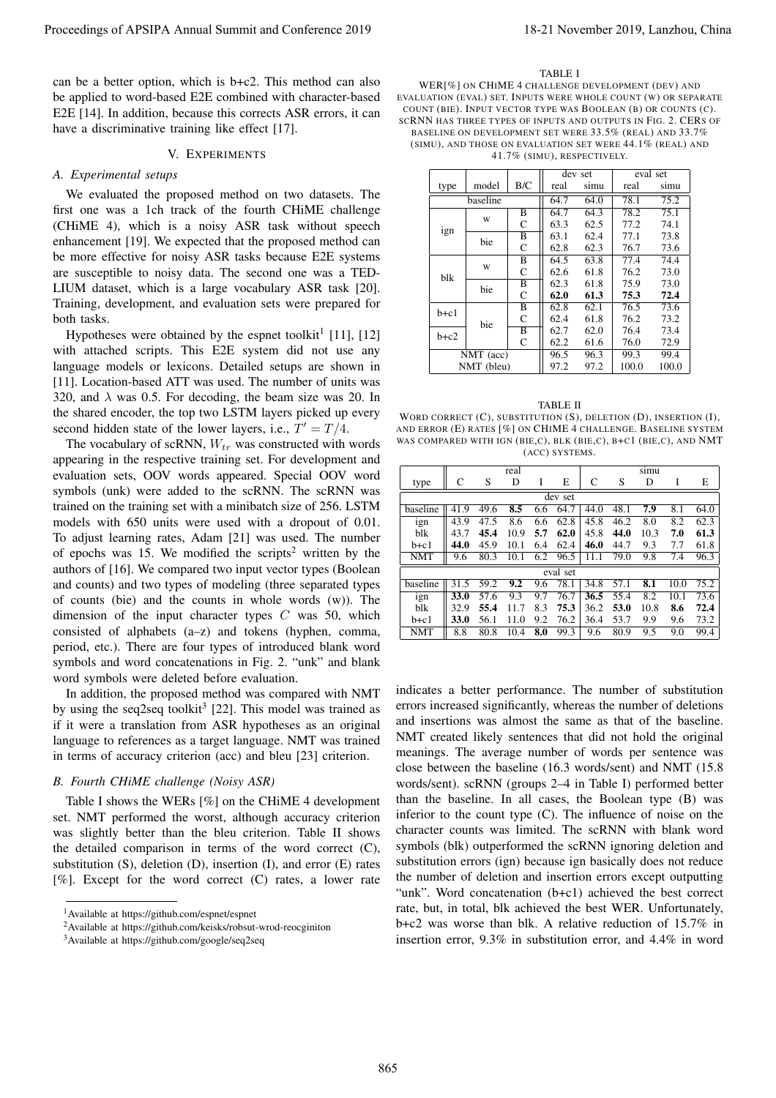can be a better option, which is b+c2. This method can also be applied to word-based E2E combined with character-based E2E [14]. In addition, because this corrects ASR errors, it can have a discriminative training like effect [17].

## V. EXPERIMENTS

#### *A. Experimental setups*

We evaluated the proposed method on two datasets. The first one was a 1ch track of the fourth CHiME challenge (CHiME 4), which is a noisy ASR task without speech enhancement [19]. We expected that the proposed method can be more effective for noisy ASR tasks because E2E systems are susceptible to noisy data. The second one was a TED-LIUM dataset, which is a large vocabulary ASR task [20]. Training, development, and evaluation sets were prepared for both tasks.

Hypotheses were obtained by the espnet toolkit<sup>1</sup> [11], [12] with attached scripts. This E2E system did not use any language models or lexicons. Detailed setups are shown in [11]. Location-based ATT was used. The number of units was 320, and  $\lambda$  was 0.5. For decoding, the beam size was 20. In the shared encoder, the top two LSTM layers picked up every second hidden state of the lower layers, i.e.,  $T' = T/4$ .<br>The vocabulary of scRNN W<sub>r</sub> was constructed with

The vocabulary of scRNN, <sup>W</sup>*tr* was constructed with words appearing in the respective training set. For development and evaluation sets, OOV words appeared. Special OOV word symbols (unk) were added to the scRNN. The scRNN was trained on the training set with a minibatch size of 256. LSTM models with 650 units were used with a dropout of 0.01. To adjust learning rates, Adam [21] was used. The number of epochs was 15. We modified the scripts<sup>2</sup> written by the authors of [16]. We compared two input vector types (Boolean and counts) and two types of modeling (three separated types of counts (bie) and the counts in whole words (w)). The dimension of the input character types  $C$  was 50, which consisted of alphabets (a–z) and tokens (hyphen, comma, period, etc.). There are four types of introduced blank word symbols and word concatenations in Fig. 2. "unk" and blank word symbols were deleted before evaluation.

In addition, the proposed method was compared with NMT by using the seq2seq toolkit<sup>3</sup> [22]. This model was trained as if it were a translation from ASR hypotheses as an original language to references as a target language. NMT was trained in terms of accuracy criterion (acc) and bleu [23] criterion.

## *B. Fourth CHiME challenge (Noisy ASR)*

Table I shows the WERs [%] on the CHiME 4 development set. NMT performed the worst, although accuracy criterion was slightly better than the bleu criterion. Table II shows the detailed comparison in terms of the word correct (C), substitution (S), deletion (D), insertion (I), and error (E) rates  $[\%]$ . Except for the word correct (C) rates, a lower rate

TABLE I

WER[%] ON CHIME 4 CHALLENGE DEVELOPMENT (DEV) AND EVALUATION (EVAL) SET. INPUTS WERE WHOLE COUNT (W) OR SEPARATE COUNT (BIE). INPUT VECTOR TYPE WAS BOOLEAN (B) OR COUNTS (C). SCRNN HAS THREE TYPES OF INPUTS AND OUTPUTS IN FIG. 2. CERS OF BASELINE ON DEVELOPMENT SET WERE 33.5% (REAL) AND 33.7% (SIMU), AND THOSE ON EVALUATION SET WERE 44.1% (REAL) AND 41.7% (SIMU), RESPECTIVELY.

|            |          |              |      | dev set | eval set |      |
|------------|----------|--------------|------|---------|----------|------|
| type       | model    | B/C          | real | simu    | real     | simu |
|            | baseline |              | 64.7 | 64.0    | 78.1     | 75.2 |
|            |          | В            | 64.7 | 64.3    | 78.2     | 75.1 |
|            | W        | C            | 63.3 | 62.5    | 77.2     | 74.1 |
| ign        | bie      | $_{\rm B}$   | 63.1 | 62.4    | 77.1     | 73.8 |
|            |          | C            | 62.8 | 62.3    | 76.7     | 73.6 |
|            |          | B            | 64.5 | 63.8    | 77.4     | 74.4 |
| blk        | W        | C            | 62.6 | 61.8    | 76.2     | 73.0 |
|            | bie      | в            | 62.3 | 61.8    | 75.9     | 73.0 |
|            |          | C            | 62.0 | 61.3    | 75.3     | 72.4 |
| $b+c1$     |          | B            | 62.8 | 62.1    | 76.5     | 73.6 |
|            | bie      | C            | 62.4 | 61.8    | 76.2     | 73.2 |
| $b+c2$     |          | B            | 62.7 | 62.0    | 76.4     | 73.4 |
|            |          | $\mathsf{C}$ | 62.2 | 61.6    | 76.0     | 72.9 |
| NMT (acc)  |          | 96.5         | 96.3 | 99.3    | 99.4     |      |
| NMT (bleu) |          | 97.2         | 97.2 | 100.0   | 100.0    |      |

TABLE II WORD CORRECT (C), SUBSTITUTION (S), DELETION (D), INSERTION (I), AND ERROR (E) RATES [%] ON CHIME 4 CHALLENGE. BASELINE SYSTEM WAS COMPARED WITH IGN (BIE,C), BLK (BIE,C), B+C1 (BIE,C), AND NMT (ACC) SYSTEMS.

|            |      |      | real |     |      |      |      | simu |      |      |
|------------|------|------|------|-----|------|------|------|------|------|------|
| type       | C    | S    | D    | I   | E    | C    | S    | D    | I    | E    |
| dev set    |      |      |      |     |      |      |      |      |      |      |
| baseline   | 41.9 | 49.6 | 8.5  | 6.6 | 64.7 | 44.0 | 48.1 | 7.9  | 8.1  | 64.0 |
| ign        | 43.9 | 47.5 | 8.6  | 6.6 | 62.8 | 45.8 | 46.2 | 8.0  | 8.2  | 62.3 |
| blk        | 43.7 | 45.4 | 10.9 | 5.7 | 62.0 | 45.8 | 44.0 | 10.3 | 7.0  | 61.3 |
| $b+c1$     | 44.0 | 45.9 | 10.1 | 6.4 | 62.4 | 46.0 | 44.7 | 9.3  | 7.7  | 61.8 |
| <b>NMT</b> | 9.6  | 80.3 | 10.1 | 6.2 | 96.5 | 11.1 | 79.0 | 9.8  | 7.4  | 96.3 |
| eval set   |      |      |      |     |      |      |      |      |      |      |
| baseline   | 31.5 | 59.2 | 9.2  | 9.6 | 78.1 | 34.8 | 57.1 | 8.1  | 10.0 | 75.2 |
| ign        | 33.0 | 57.6 | 9.3  | 9.7 | 76.7 | 36.5 | 55.4 | 8.2  | 10.1 | 73.6 |
| blk        | 32.9 | 55.4 | 11.7 | 8.3 | 75.3 | 36.2 | 53.0 | 10.8 | 8.6  | 72.4 |
| $b+c1$     | 33.0 | 56.1 | 11.0 | 9.2 | 76.2 | 36.4 | 53.7 | 9.9  | 9.6  | 73.2 |
| <b>NMT</b> | 8.8  | 80.8 | 10.4 | 8.0 | 99.3 | 9.6  | 80.9 | 9.5  | 9.0  | 99.4 |

indicates a better performance. The number of substitution errors increased significantly, whereas the number of deletions and insertions was almost the same as that of the baseline. NMT created likely sentences that did not hold the original meanings. The average number of words per sentence was close between the baseline (16.3 words/sent) and NMT (15.8 words/sent). scRNN (groups 2–4 in Table I) performed better than the baseline. In all cases, the Boolean type (B) was inferior to the count type (C). The influence of noise on the character counts was limited. The scRNN with blank word symbols (blk) outperformed the scRNN ignoring deletion and substitution errors (ign) because ign basically does not reduce the number of deletion and insertion errors except outputting "unk". Word concatenation (b+c1) achieved the best correct rate, but, in total, blk achieved the best WER. Unfortunately, b+c2 was worse than blk. A relative reduction of 15.7% in insertion error, 9.3% in substitution error, and 4.4% in word Proceeding of APSIPA Annual Summit at China summit and Conference 2019 18-21 November 2019, Lanzhou, China Summit and Conference 2019 18-21 November 2019 18-21 November 2019 18-21 November 2019 18-21 November 2019 18-21 N

<sup>1</sup>Available at https://github.com/espnet/espnet

<sup>2</sup>Available at https://github.com/keisks/robsut-wrod-reocginiton

<sup>3</sup>Available at https://github.com/google/seq2seq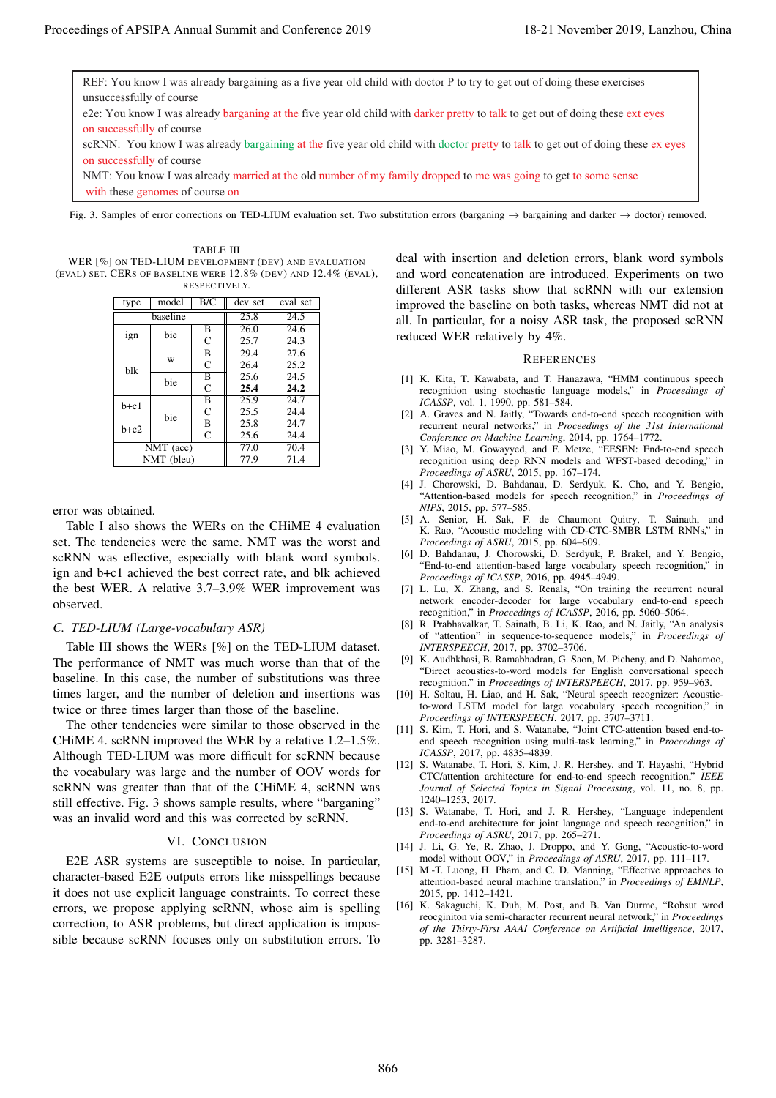REF: You know I was already bargaining as a five year old child with doctor P to try to get out of doing these exercises unsuccessfully of course e2e: You know I was already barganing at the five year old child with darker pretty to talk to get out of doing these ext eyes on successfully of course scRNN: You know I was already bargaining at the five year old child with doctor pretty to talk to get out of doing these ex eyes on successfully of course NMT: You know I was already married at the old number of my family dropped to me was going to get to some sense Proceeding of APSIPA Annual Summit at China context)<br>
The Viewer Conservation of the Viewer Conservation of the Viewer Conservation of the Viewer Conservation of the Viewer Conservation of the Viewer Conservation of the V

with these genomes of course on

Fig. 3. Samples of error corrections on TED-LIUM evaluation set. Two substitution errors (barganing → bargaining and darker → doctor) removed.

TABLE III WER [%] ON TED-LIUM DEVELOPMENT (DEV) AND EVALUATION (EVAL) SET. CERS OF BASELINE WERE 12.8% (DEV) AND 12.4% (EVAL), RESPECTIVELY.

| type       | model    | B/C                     | dev set           | eval set          |
|------------|----------|-------------------------|-------------------|-------------------|
|            | baseline | 25.8                    | 24.5              |                   |
| ign        | bie      | B                       | 26.0              | 24.6              |
|            |          | C                       | 25.7              | 24.3              |
| blk        |          | B                       | $\overline{29.4}$ | $\overline{27.6}$ |
|            | W        | C                       | 26.4              | 25.2              |
|            | bie      | $\overline{\mathbf{B}}$ | 25.6              | 24.5              |
|            |          | C                       | 25.4              | 24.2              |
| $h+c1$     | bie      | B                       | 25.9              | 24.7              |
|            |          | C                       | 25.5              | 24.4              |
| $h+c2$     |          | B                       | 25.8              | 24.7              |
|            |          | C                       | 25.6              | 24.4              |
| NMT (acc)  |          |                         | 77.0              | 70.4              |
| NMT (bleu) |          |                         | 77.9              | 71.4              |

error was obtained.

Table I also shows the WERs on the CHiME 4 evaluation set. The tendencies were the same. NMT was the worst and scRNN was effective, especially with blank word symbols. ign and b+c1 achieved the best correct rate, and blk achieved the best WER. A relative 3.7–3.9% WER improvement was observed.

## *C. TED-LIUM (Large-vocabulary ASR)*

Table III shows the WERs [%] on the TED-LIUM dataset. The performance of NMT was much worse than that of the baseline. In this case, the number of substitutions was three times larger, and the number of deletion and insertions was twice or three times larger than those of the baseline.

The other tendencies were similar to those observed in the CHiME 4. scRNN improved the WER by a relative 1.2–1.5%. Although TED-LIUM was more difficult for scRNN because the vocabulary was large and the number of OOV words for scRNN was greater than that of the CHiME 4, scRNN was still effective. Fig. 3 shows sample results, where "barganing" was an invalid word and this was corrected by scRNN.

# VI. CONCLUSION

E2E ASR systems are susceptible to noise. In particular, character-based E2E outputs errors like misspellings because it does not use explicit language constraints. To correct these errors, we propose applying scRNN, whose aim is spelling correction, to ASR problems, but direct application is impossible because scRNN focuses only on substitution errors. To

deal with insertion and deletion errors, blank word symbols and word concatenation are introduced. Experiments on two different ASR tasks show that scRNN with our extension improved the baseline on both tasks, whereas NMT did not at all. In particular, for a noisy ASR task, the proposed scRNN reduced WER relatively by 4%.

#### **REFERENCES**

- [1] K. Kita, T. Kawabata, and T. Hanazawa, "HMM continuous speech recognition using stochastic language models," in *Proceedings of ICASSP*, vol. 1, 1990, pp. 581–584.
- [2] A. Graves and N. Jaitly, "Towards end-to-end speech recognition with recurrent neural networks," in *Proceedings of the 31st International Conference on Machine Learning*, 2014, pp. 1764–1772.
- [3] Y. Miao, M. Gowayyed, and F. Metze, "EESEN: End-to-end speech recognition using deep RNN models and WFST-based decoding," in *Proceedings of ASRU*, 2015, pp. 167–174.
- [4] J. Chorowski, D. Bahdanau, D. Serdyuk, K. Cho, and Y. Bengio, "Attention-based models for speech recognition," in *Proceedings of NIPS*, 2015, pp. 577–585.
- [5] A. Senior, H. Sak, F. de Chaumont Quitry, T. Sainath, and K. Rao, "Acoustic modeling with CD-CTC-SMBR LSTM RNNs," in *Proceedings of ASRU*, 2015, pp. 604–609.
- [6] D. Bahdanau, J. Chorowski, D. Serdyuk, P. Brakel, and Y. Bengio, "End-to-end attention-based large vocabulary speech recognition," in *Proceedings of ICASSP*, 2016, pp. 4945–4949.
- [7] L. Lu, X. Zhang, and S. Renals, "On training the recurrent neural network encoder-decoder for large vocabulary end-to-end speech recognition," in *Proceedings of ICASSP*, 2016, pp. 5060–5064.
- [8] R. Prabhavalkar, T. Sainath, B. Li, K. Rao, and N. Jaitly, "An analysis of "attention" in sequence-to-sequence models," in *Proceedings of INTERSPEECH*, 2017, pp. 3702–3706.
- [9] K. Audhkhasi, B. Ramabhadran, G. Saon, M. Picheny, and D. Nahamoo, "Direct acoustics-to-word models for English conversational speech recognition," in *Proceedings of INTERSPEECH*, 2017, pp. 959–963.
- [10] H. Soltau, H. Liao, and H. Sak, "Neural speech recognizer: Acousticto-word LSTM model for large vocabulary speech recognition," in *Proceedings of INTERSPEECH*, 2017, pp. 3707–3711.
- [11] S. Kim, T. Hori, and S. Watanabe, "Joint CTC-attention based end-toend speech recognition using multi-task learning," in *Proceedings of ICASSP*, 2017, pp. 4835–4839.
- [12] S. Watanabe, T. Hori, S. Kim, J. R. Hershey, and T. Hayashi, "Hybrid CTC/attention architecture for end-to-end speech recognition," *IEEE Journal of Selected Topics in Signal Processing*, vol. 11, no. 8, pp. 1240–1253, 2017.
- [13] S. Watanabe, T. Hori, and J. R. Hershey, "Language independent end-to-end architecture for joint language and speech recognition," in *Proceedings of ASRU*, 2017, pp. 265–271.
- [14] J. Li, G. Ye, R. Zhao, J. Droppo, and Y. Gong, "Acoustic-to-word model without OOV," in *Proceedings of ASRU*, 2017, pp. 111–117.
- [15] M.-T. Luong, H. Pham, and C. D. Manning, "Effective approaches to attention-based neural machine translation," in *Proceedings of EMNLP*, 2015, pp. 1412–1421.
- [16] K. Sakaguchi, K. Duh, M. Post, and B. Van Durme, "Robsut wrod reocginiton via semi-character recurrent neural network," in *Proceedings of the Thirty-First AAAI Conference on Artificial Intelligence*, 2017, pp. 3281–3287.